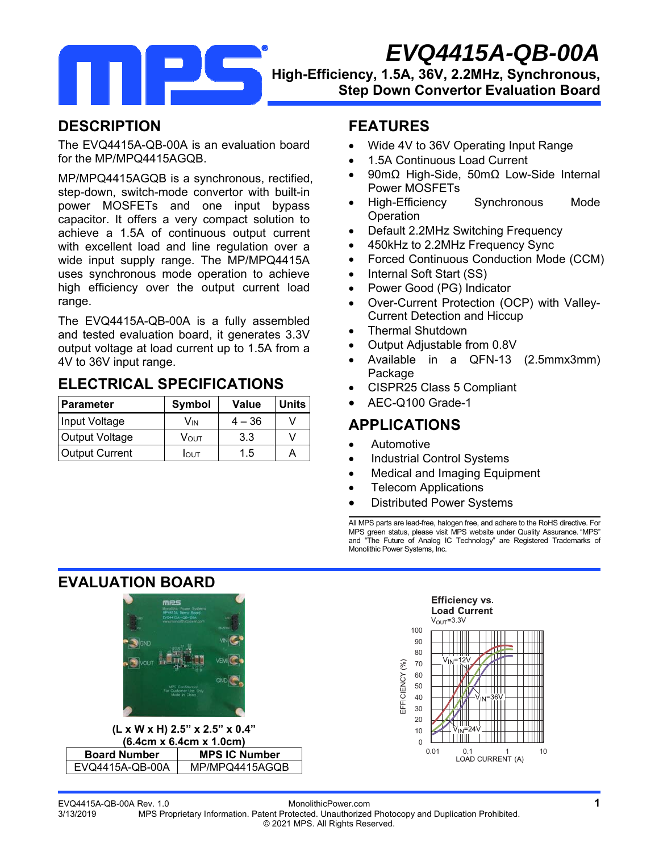*EVQ4415A-QB-00A* 

### **High-Efficiency, 1.5A, 36V, 2.2MHz, Synchronous, Step Down Convertor Evaluation Board**

### **DESCRIPTION**

The EVQ4415A-QB-00A is an evaluation board for the MP/MPQ4415AGQB.

MP/MPQ4415AGQB is a synchronous, rectified, step-down, switch-mode convertor with built-in power MOSFETs and one input bypass capacitor. It offers a very compact solution to achieve a 1.5A of continuous output current with excellent load and line regulation over a wide input supply range. The MP/MPQ4415A uses synchronous mode operation to achieve high efficiency over the output current load range.

The EVQ4415A-QB-00A is a fully assembled and tested evaluation board, it generates 3.3V output voltage at load current up to 1.5A from a 4V to 36V input range.

### **ELECTRICAL SPECIFICATIONS**

| Parameter             | <b>Symbol</b> | <b>Value</b> | <b>Units</b> |
|-----------------------|---------------|--------------|--------------|
| Input Voltage         | Vın           | $4 - 36$     |              |
| Output Voltage        | Vουτ          | 3.3          |              |
| <b>Output Current</b> | Ιουτ          | 1.5          |              |

### **FEATURES**

- Wide 4V to 36V Operating Input Range
- 1.5A Continuous Load Current
- 90mΩ High-Side, 50mΩ Low-Side Internal Power MOSFETs
- High-Efficiency Synchronous Mode **Operation**
- Default 2.2MHz Switching Frequency
- 450kHz to 2.2MHz Frequency Sync
- Forced Continuous Conduction Mode (CCM)
- Internal Soft Start (SS)
- Power Good (PG) Indicator
- Over-Current Protection (OCP) with Valley-Current Detection and Hiccup
- Thermal Shutdown
- Output Adjustable from 0.8V
- Available in a QFN-13 (2.5mmx3mm) Package
- CISPR25 Class 5 Compliant
- AEC-Q100 Grade-1

### **APPLICATIONS**

- Automotive
- Industrial Control Systems
- Medical and Imaging Equipment
- Telecom Applications
- Distributed Power Systems

All MPS parts are lead-free, halogen free, and adhere to the RoHS directive. For MPS green status, please visit MPS website under Quality Assurance. "MPS" and "The Future of Analog IC Technology" are Registered Trademarks of Monolithic Power Systems, Inc.

### **EVALUATION BOARD**



**(L x W x H) 2.5" x 2.5" x 0.4" (6.4cm x 6.4cm x 1.0cm) Board Number | MPS IC Number** EVQ4415A-QB-00A MP/MPQ4415AGQB



EVQ4415A-QB-00A Rev. 1.0 MonolithicPower.com **1** 3/13/2019 MPS Proprietary Information. Patent Protected. Unauthorized Photocopy and Duplication Prohibited. © 2021 MPS. All Rights Reserved.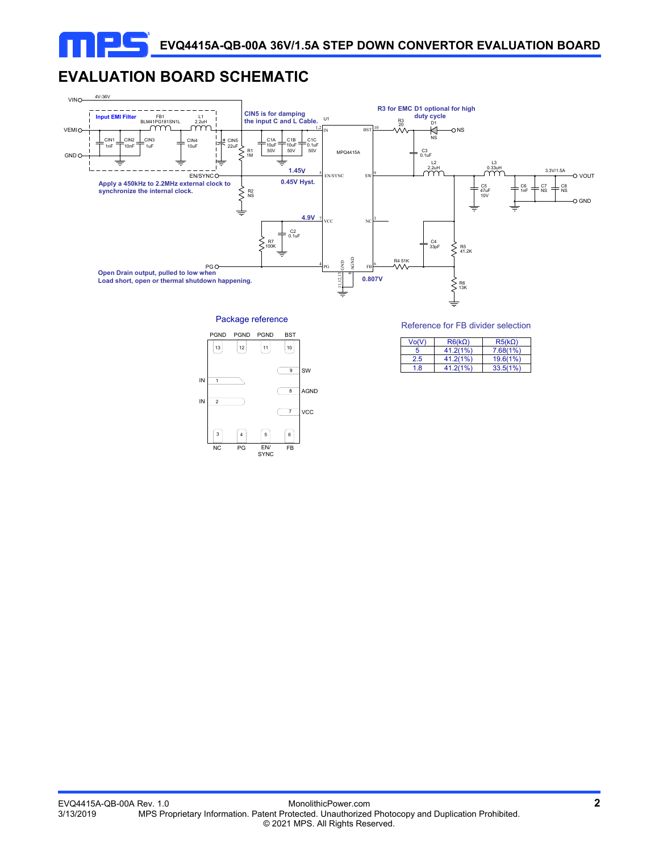# **EVALUATION BOARD SCHEMATIC**



Package reference



Reference for FB divider selection

| Vo(V) | $R6(k\Omega)$ | $R5(k\Omega)$ |
|-------|---------------|---------------|
|       | 41.2(1%)      | 7.68(1%)      |
| 2.5   | 41.2(1%)      | 19.6(1%)      |
| 1.8   | 41.2(1%)      | 33.5(1%)      |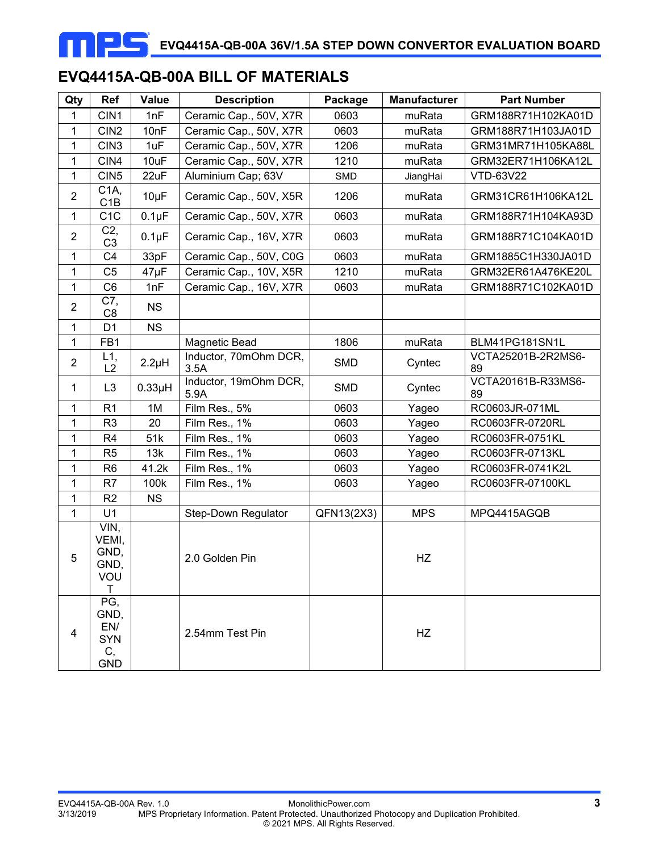# **EVQ4415A-QB-00A BILL OF MATERIALS**

| Qty              | Ref                                                  | Value       | <b>Description</b>            | Package    | <b>Manufacturer</b> | <b>Part Number</b>       |
|------------------|------------------------------------------------------|-------------|-------------------------------|------------|---------------------|--------------------------|
| 1                | CIN1                                                 | 1nF         | Ceramic Cap., 50V, X7R        | 0603       | muRata              | GRM188R71H102KA01D       |
| $\mathbf 1$      | CIN <sub>2</sub>                                     | 10nF        | Ceramic Cap., 50V, X7R        | 0603       | muRata              | GRM188R71H103JA01D       |
| $\mathbf{1}$     | CIN <sub>3</sub>                                     | 1uF         | Ceramic Cap., 50V, X7R        | 1206       | muRata              | GRM31MR71H105KA88L       |
| $\mathbf 1$      | CIN4                                                 | 10uF        | Ceramic Cap., 50V, X7R        | 1210       | muRata              | GRM32ER71H106KA12L       |
| $\mathbf 1$      | CIN <sub>5</sub>                                     | 22uF        | Aluminium Cap; 63V            | <b>SMD</b> | JiangHai            | VTD-63V22                |
| $\overline{c}$   | C <sub>1</sub> A,<br>C1B                             | $10\mu F$   | Ceramic Cap., 50V, X5R        | 1206       | muRata              | GRM31CR61H106KA12L       |
| $\mathbf 1$      | C <sub>1</sub> C                                     | $0.1\mu F$  | Ceramic Cap., 50V, X7R        | 0603       | muRata              | GRM188R71H104KA93D       |
| $\overline{2}$   | C2,<br>C <sub>3</sub>                                | $0.1\mu F$  | Ceramic Cap., 16V, X7R        | 0603       | muRata              | GRM188R71C104KA01D       |
| $\mathbf 1$      | C <sub>4</sub>                                       | 33pF        | Ceramic Cap., 50V, C0G        | 0603       | muRata              | GRM1885C1H330JA01D       |
| $\mathbf{1}$     | C <sub>5</sub>                                       | $47\mu F$   | Ceramic Cap., 10V, X5R        | 1210       | muRata              | GRM32ER61A476KE20L       |
| $\mathbf 1$      | C <sub>6</sub>                                       | 1nF         | Ceramic Cap., 16V, X7R        | 0603       | muRata              | GRM188R71C102KA01D       |
| $\overline{2}$   | C7,<br>C <sub>8</sub>                                | <b>NS</b>   |                               |            |                     |                          |
| $\mathbf 1$      | D <sub>1</sub>                                       | <b>NS</b>   |                               |            |                     |                          |
| $\mathbf{1}$     | FB1                                                  |             | Magnetic Bead                 | 1806       | muRata              | BLM41PG181SN1L           |
| $\boldsymbol{2}$ | L1,<br>L2                                            | $2.2\mu H$  | Inductor, 70mOhm DCR,<br>3.5A | <b>SMD</b> | Cyntec              | VCTA25201B-2R2MS6-<br>89 |
| 1                | L <sub>3</sub>                                       | $0.33\mu H$ | Inductor, 19mOhm DCR,<br>5.9A | <b>SMD</b> | Cyntec              | VCTA20161B-R33MS6-<br>89 |
| 1                | R <sub>1</sub>                                       | 1M          | Film Res., 5%                 | 0603       | Yageo               | RC0603JR-071ML           |
| $\mathbf 1$      | R <sub>3</sub>                                       | 20          | Film Res., 1%                 | 0603       | Yageo               | RC0603FR-0720RL          |
| $\mathbf 1$      | R <sub>4</sub>                                       | 51k         | Film Res., 1%                 | 0603       | Yageo               | RC0603FR-0751KL          |
| $\mathbf 1$      | R <sub>5</sub>                                       | 13k         | Film Res., 1%                 | 0603       | Yageo               | RC0603FR-0713KL          |
| $\mathbf 1$      | R <sub>6</sub>                                       | 41.2k       | Film Res., 1%                 | 0603       | Yageo               | RC0603FR-0741K2L         |
| 1                | R7                                                   | 100k        | Film Res., 1%                 | 0603       | Yageo               | RC0603FR-07100KL         |
| 1                | R2                                                   | <b>NS</b>   |                               |            |                     |                          |
| $\mathbf{1}$     | U1                                                   |             | Step-Down Regulator           | QFN13(2X3) | <b>MPS</b>          | MPQ4415AGQB              |
| 5                | VIN,<br>VEMI,<br>GND,<br>GND,<br>VOU<br>т            |             | 2.0 Golden Pin                |            | HZ                  |                          |
| 4                | PG,<br>GND,<br>EN/<br><b>SYN</b><br>C,<br><b>GND</b> |             | 2.54mm Test Pin               |            | HZ                  |                          |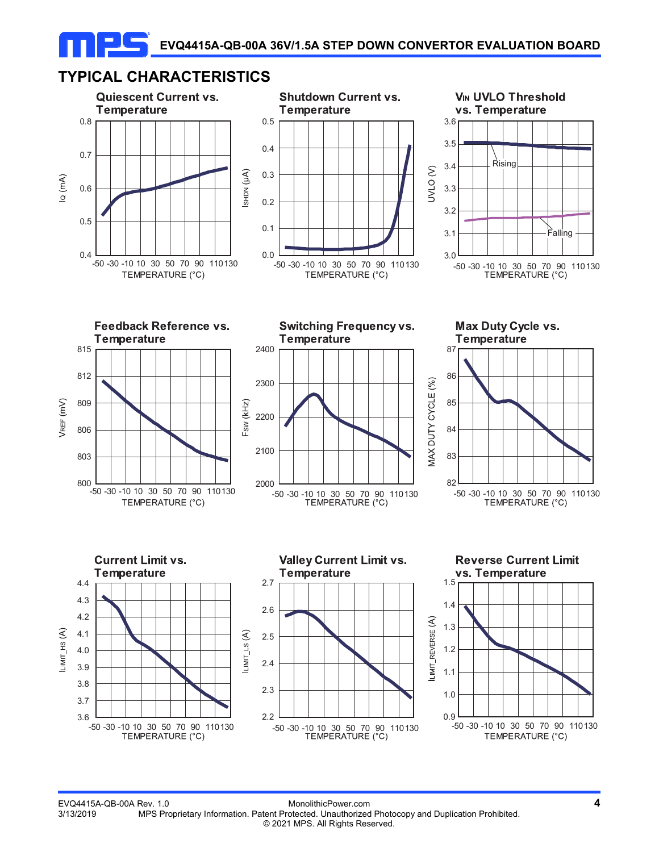# **TYPICAL CHARACTERISTICS**

ПЕ











**Switching Frequency vs.** 









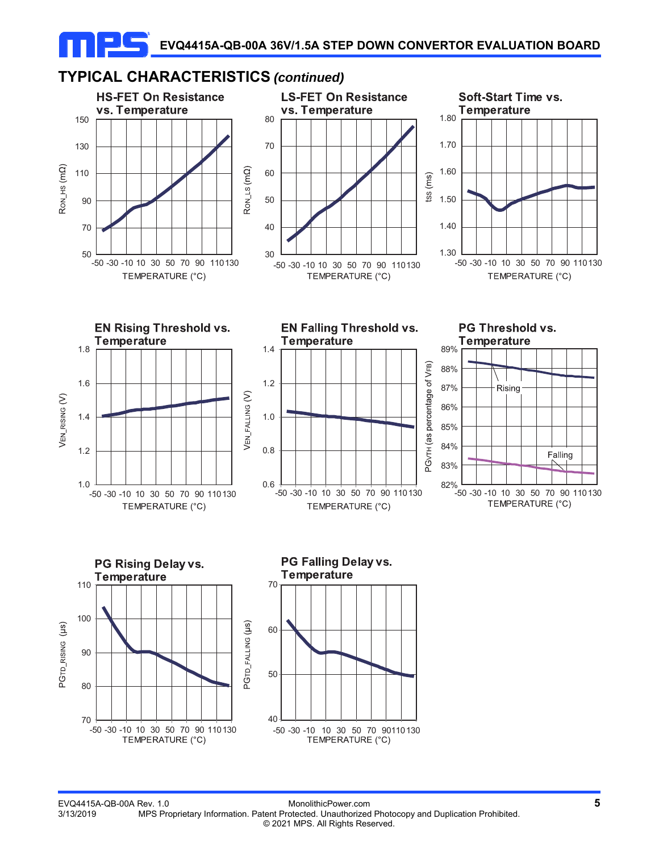

#### EVQ4415A-QB-00A Rev. 1.0 MonolithicPower.com **5** 3/13/2019 MPS Proprietary Information. Patent Protected. Unauthorized Photocopy and Duplication Prohibited. © 2021 MPS. All Rights Reserved.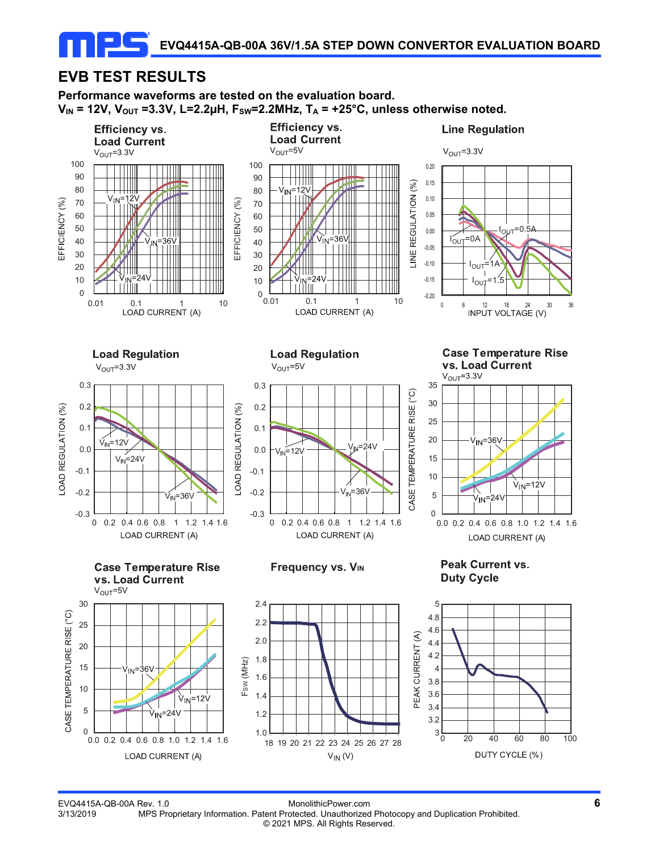# **EVB TEST RESULTS**

**Performance waveforms are tested on the evaluation board.**   $V_{\text{IN}}$  = 12V,  $V_{\text{OUT}}$  =3.3V, L=2.2µH,  $F_{\text{SW}}$ =2.2MHz,  $T_{\text{A}}$  = +25°C, unless otherwise noted.



EVQ4415A-QB-00A Rev. 1.0 MonolithicPower.com **6** 3/13/2019 MPS Proprietary Information. Patent Protected. Unauthorized Photocopy and Duplication Prohibited. © 2021 MPS. All Rights Reserved.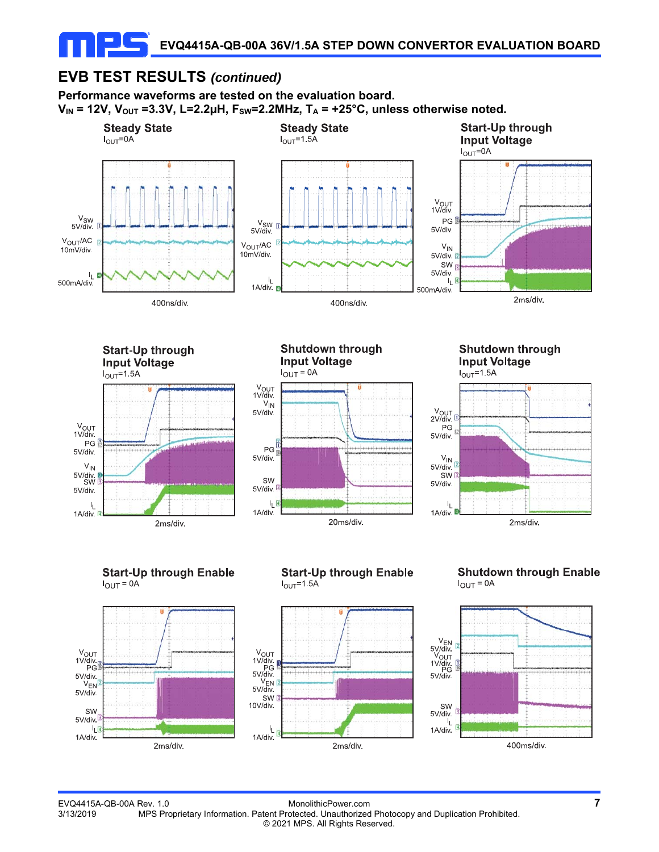## **EVB TEST RESULTS** *(continued)*

**Performance waveforms are tested on the evaluation board.**   $V_{\text{IN}}$  = 12V,  $V_{\text{OUT}}$  =3.3V, L=2.2µH,  $F_{\text{SW}}$ =2.2MHz,  $T_{\text{A}}$  = +25°C, unless otherwise noted.







**Shutdown through Input Voltage**  $I_{OUT} = 1.5A$ 



**Start-Up through Enable**  $I_{OUT} = 0A$ 



### **Start-Up through Enable**  $I_{\text{OUT}} = 1.5A$



### **Shutdown through Enable**  $I_{OUT} = 0A$

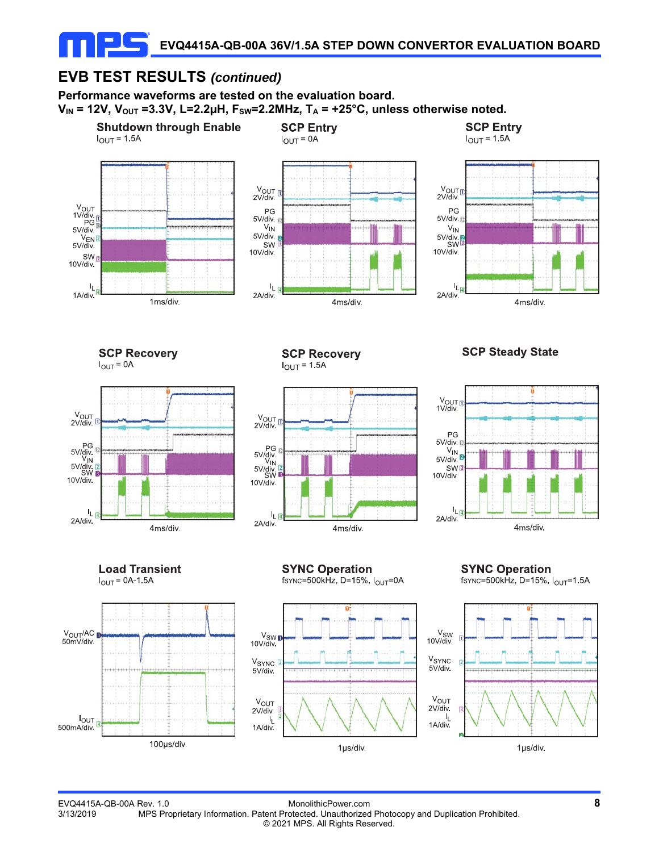# **EVB TEST RESULTS** *(continued)*

**Performance waveforms are tested on the evaluation board.**   $V_{IN}$  = 12V,  $V_{OUT}$  =3.3V, L=2.2µH,  $F_{SW}$ =2.2MHz,  $T_A$  = +25°C, unless otherwise noted.

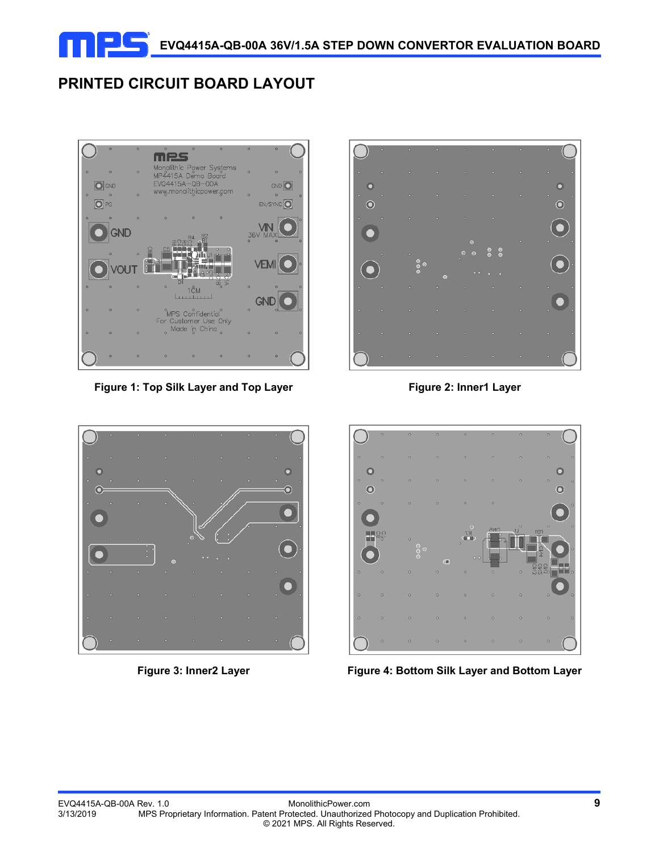

# **PRINTED CIRCUIT BOARD LAYOUT**



Figure 1: Top Silk Layer and Top Layer **Figure 2: Inner1 Layer** 







Figure 3: Inner2 Layer **Figure 4: Bottom Silk Layer and Bottom Layer**